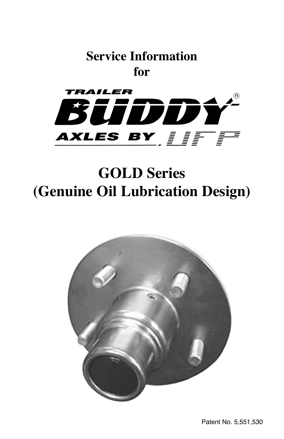



# **GOLD Series (Genuine Oil Lubrication Design)**

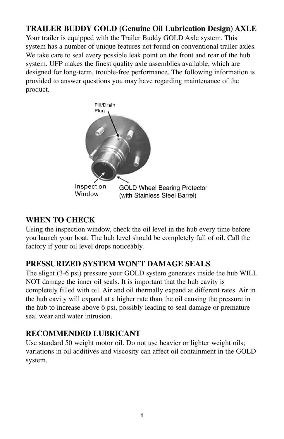## **TRAILER BUDDY GOLD (Genuine Oil Lubrication Design) AXLE**

Your trailer is equipped with the Trailer Buddy GOLD Axle system. This system has a number of unique features not found on conventional trailer axles. We take care to seal every possible leak point on the front and rear of the hub system. UFP makes the finest quality axle assemblies available, which are designed for long-term, trouble-free performance. The following information is provided to answer questions you may have regarding maintenance of the product.



#### **WHEN TO CHECK**

Using the inspection window, check the oil level in the hub every time before you launch your boat. The hub level should be completely full of oil. Call the factory if your oil level drops noticeably.

## **PRESSURIZED SYSTEM WON'T DAMAGE SEALS**

The slight (3-6 psi) pressure your GOLD system generates inside the hub WILL NOT damage the inner oil seals. It is important that the hub cavity is completely filled with oil. Air and oil thermally expand at different rates. Air in the hub cavity will expand at a higher rate than the oil causing the pressure in the hub to increase above 6 psi, possibly leading to seal damage or premature seal wear and water intrusion.

#### **RECOMMENDED LUBRICANT**

Use standard 50 weight motor oil. Do not use heavier or lighter weight oils; variations in oil additives and viscosity can affect oil containment in the GOLD system.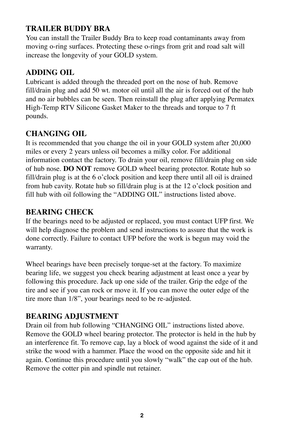## **TRAILER BUDDY BRA**

You can install the Trailer Buddy Bra to keep road contaminants away from moving o-ring surfaces. Protecting these o-rings from grit and road salt will increase the longevity of your GOLD system.

## **ADDING OIL**

Lubricant is added through the threaded port on the nose of hub. Remove fill/drain plug and add 50 wt. motor oil until all the air is forced out of the hub and no air bubbles can be seen. Then reinstall the plug after applying Permatex High-Temp RTV Silicone Gasket Maker to the threads and torque to 7 ft pounds.

## **CHANGING OIL**

It is recommended that you change the oil in your GOLD system after 20,000 miles or every 2 years unless oil becomes a milky color. For additional information contact the factory. To drain your oil, remove fill/drain plug on side of hub nose. **DO NOT** remove GOLD wheel bearing protector. Rotate hub so fill/drain plug is at the 6 o'clock position and keep there until all oil is drained from hub cavity. Rotate hub so fill/drain plug is at the 12 o'clock position and fill hub with oil following the "ADDING OIL" instructions listed above.

#### **BEARING CHECK**

If the bearings need to be adjusted or replaced, you must contact UFP first. We will help diagnose the problem and send instructions to assure that the work is done correctly. Failure to contact UFP before the work is begun may void the warranty.

Wheel bearings have been precisely torque-set at the factory. To maximize bearing life, we suggest you check bearing adjustment at least once a year by following this procedure. Jack up one side of the trailer. Grip the edge of the tire and see if you can rock or move it. If you can move the outer edge of the tire more than 1/8", your bearings need to be re-adjusted.

## **BEARING ADJUSTMENT**

Drain oil from hub following "CHANGING OIL" instructions listed above. Remove the GOLD wheel bearing protector. The protector is held in the hub by an interference fit. To remove cap, lay a block of wood against the side of it and strike the wood with a hammer. Place the wood on the opposite side and hit it again. Continue this procedure until you slowly "walk" the cap out of the hub. Remove the cotter pin and spindle nut retainer.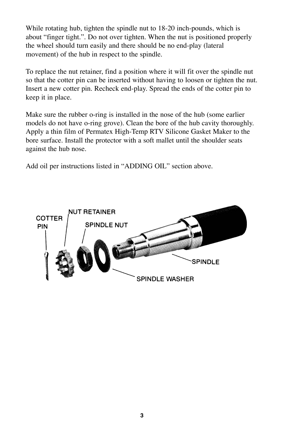While rotating hub, tighten the spindle nut to 18-20 inch-pounds, which is about "finger tight.". Do not over tighten. When the nut is positioned properly the wheel should turn easily and there should be no end-play (lateral movement) of the hub in respect to the spindle.

To replace the nut retainer, find a position where it will fit over the spindle nut so that the cotter pin can be inserted without having to loosen or tighten the nut. Insert a new cotter pin. Recheck end-play. Spread the ends of the cotter pin to keep it in place.

Make sure the rubber o-ring is installed in the nose of the hub (some earlier models do not have o-ring grove). Clean the bore of the hub cavity thoroughly. Apply a thin film of Permatex High-Temp RTV Silicone Gasket Maker to the bore surface. Install the protector with a soft mallet until the shoulder seats against the hub nose.

Add oil per instructions listed in "ADDING OIL" section above.

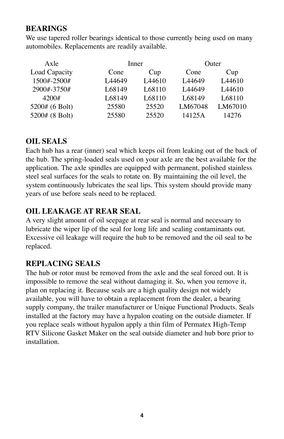#### **BEARINGS**

We use tapered roller bearings identical to those currently being used on many automobiles. Replacements are readily available.

| Axle           |                    | Inner              |                    | Outer              |  |
|----------------|--------------------|--------------------|--------------------|--------------------|--|
| Load Capacity  | Cone               | Cup                | Cone               | Cup                |  |
| 1500#-2500#    | L <sub>44649</sub> | L <sub>44610</sub> | L <sub>44649</sub> | L <sub>44610</sub> |  |
| 2900#-3750#    | L68149             | L68110             | L <sub>44649</sub> | L <sub>44610</sub> |  |
| 4200#          | L68149             | L68110             | L68149             | L68110             |  |
| 5200# (6 Bolt) | 25580              | 25520              | LM67048            | LM67010            |  |
| 5200# (8 Bolt) | 25580              | 25520              | 14125A             | 14276              |  |

#### **OIL SEALS**

Each hub has a rear (inner) seal which keeps oil from leaking out of the back of the hub. The spring-loaded seals used on your axle are the best available for the application. The axle spindles are equipped with permanent, polished stainless steel seal surfaces for the seals to rotate on. By maintaining the oil level, the system continuously lubricates the seal lips. This system should provide many years of use before seals need to be replaced.

## **OIL LEAKAGE AT REAR SEAL**

A very slight amount of oil seepage at rear seal is normal and necessary to lubricate the wiper lip of the seal for long life and sealing contaminants out. Excessive oil leakage will require the hub to be removed and the oil seal to be replaced.

#### **REPLACING SEALS**

The hub or rotor must be removed from the axle and the seal forced out. It is impossible to remove the seal without damaging it. So, when you remove it, plan on replacing it. Because seals are a high quality design not widely available, you will have to obtain a replacement from the dealer, a bearing supply company, the trailer manufacturer or Unique Functional Products. Seals installed at the factory may have a hypalon coating on the outside diameter. If you replace seals without hypalon apply a thin film of Permatex High-Temp RTV Silicone Gasket Maker on the seal outside diameter and hub bore prior to installation.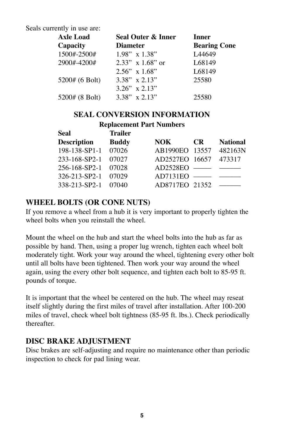Seals currently in use are:

| <b>Axle Load</b> | Seal Outer & Inner  | <b>Inner</b>        |  |
|------------------|---------------------|---------------------|--|
| Capacity         | <b>Diameter</b>     | <b>Bearing Cone</b> |  |
| 1500#-2500#      | $1.98"$ x $1.38"$   | L <sub>44649</sub>  |  |
| 2900#-4200#      | $2.33''$ x 1.68" or | L68149              |  |
|                  | $2.56$ " x $1.68$ " | L68149              |  |
| 5200# (6 Bolt)   | $3.38''$ x $2.13''$ | 25580               |  |
|                  | $3.26''$ x $2.13''$ |                     |  |
| 5200# (8 Bolt)   | $3.38"$ x 2.13"     | 25580               |  |

#### **SEAL CONVERSION INFORMATION**

#### **Replacement Part Numbers**

| Seal                | <b>Trailer</b> |                                 |           |                 |
|---------------------|----------------|---------------------------------|-----------|-----------------|
| <b>Description</b>  | <b>Buddy</b>   | NOK –                           | <b>CR</b> | <b>National</b> |
| 198-138-SP1-1       | 07026          | AB1990EO 13557                  |           | 482163N         |
| 233-168-SP2-1       | 07027          | AD2527EO 16657                  |           | 473317          |
| 256-168-SP2-1 07028 |                | $AD2528EO$ $\longrightarrow$    |           |                 |
| 326-213-SP2-1 07029 |                | $AD7131EO$ $\longrightarrow$    |           |                 |
| 338-213-SP2-1 07040 |                | $AD8717EO 21352$ $-\frac{1}{2}$ |           |                 |
|                     |                |                                 |           |                 |

#### **WHEEL BOLTS (OR CONE NUTS)**

If you remove a wheel from a hub it is very important to properly tighten the wheel bolts when you reinstall the wheel.

Mount the wheel on the hub and start the wheel bolts into the hub as far as possible by hand. Then, using a proper lug wrench, tighten each wheel bolt moderately tight. Work your way around the wheel, tightening every other bolt until all bolts have been tightened. Then work your way around the wheel again, using the every other bolt sequence, and tighten each bolt to 85-95 ft. pounds of torque.

It is important that the wheel be centered on the hub. The wheel may reseat itself slightly during the first miles of travel after installation. After 100-200 miles of travel, check wheel bolt tightness (85-95 ft. lbs.). Check periodically thereafter.

#### **DISC BRAKE ADJUSTMENT**

Disc brakes are self-adjusting and require no maintenance other than periodic inspection to check for pad lining wear.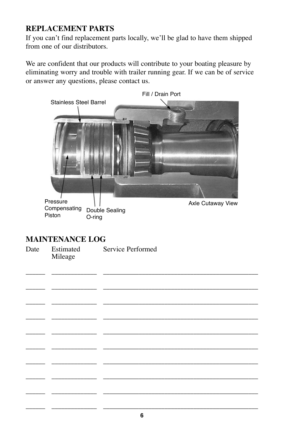## **REPLACEMENT PARTS**

If you can't find replacement parts locally, we'll be glad to have them shipped from one of our distributors.

We are confident that our products will contribute to your boating pleasure by eliminating worry and trouble with trailer running gear. If we can be of service or answer any questions, please contact us.



\_\_\_\_\_\_ \_\_\_\_\_\_\_\_\_\_\_\_\_\_ \_\_\_\_\_\_\_\_\_\_\_\_\_\_\_\_\_\_\_\_\_\_\_\_\_\_\_\_\_\_\_\_\_\_\_\_\_\_\_\_\_\_\_\_\_\_\_\_

\_\_\_\_\_\_ \_\_\_\_\_\_\_\_\_\_\_\_\_\_ \_\_\_\_\_\_\_\_\_\_\_\_\_\_\_\_\_\_\_\_\_\_\_\_\_\_\_\_\_\_\_\_\_\_\_\_\_\_\_\_\_\_\_\_\_\_\_\_

\_\_\_\_\_\_ \_\_\_\_\_\_\_\_\_\_\_\_\_\_ \_\_\_\_\_\_\_\_\_\_\_\_\_\_\_\_\_\_\_\_\_\_\_\_\_\_\_\_\_\_\_\_\_\_\_\_\_\_\_\_\_\_\_\_\_\_\_\_

\_\_\_\_\_\_ \_\_\_\_\_\_\_\_\_\_\_\_\_\_ \_\_\_\_\_\_\_\_\_\_\_\_\_\_\_\_\_\_\_\_\_\_\_\_\_\_\_\_\_\_\_\_\_\_\_\_\_\_\_\_\_\_\_\_\_\_\_\_

\_\_\_\_\_\_ \_\_\_\_\_\_\_\_\_\_\_\_\_\_ \_\_\_\_\_\_\_\_\_\_\_\_\_\_\_\_\_\_\_\_\_\_\_\_\_\_\_\_\_\_\_\_\_\_\_\_\_\_\_\_\_\_\_\_\_\_\_\_

\_\_\_\_\_\_ \_\_\_\_\_\_\_\_\_\_\_\_\_\_ \_\_\_\_\_\_\_\_\_\_\_\_\_\_\_\_\_\_\_\_\_\_\_\_\_\_\_\_\_\_\_\_\_\_\_\_\_\_\_\_\_\_\_\_\_\_\_\_

\_\_\_\_\_\_ \_\_\_\_\_\_\_\_\_\_\_\_\_\_ \_\_\_\_\_\_\_\_\_\_\_\_\_\_\_\_\_\_\_\_\_\_\_\_\_\_\_\_\_\_\_\_\_\_\_\_\_\_\_\_\_\_\_\_\_\_\_\_

\_\_\_\_\_\_ \_\_\_\_\_\_\_\_\_\_\_\_\_\_ \_\_\_\_\_\_\_\_\_\_\_\_\_\_\_\_\_\_\_\_\_\_\_\_\_\_\_\_\_\_\_\_\_\_\_\_\_\_\_\_\_\_\_\_\_\_\_\_

\_\_\_\_\_\_ \_\_\_\_\_\_\_\_\_\_\_\_\_\_ \_\_\_\_\_\_\_\_\_\_\_\_\_\_\_\_\_\_\_\_\_\_\_\_\_\_\_\_\_\_\_\_\_\_\_\_\_\_\_\_\_\_\_\_\_\_\_\_

#### **MAINTENANCE LOG**

| Date | Estimated | Service Performed |
|------|-----------|-------------------|
|      | Mileage   |                   |